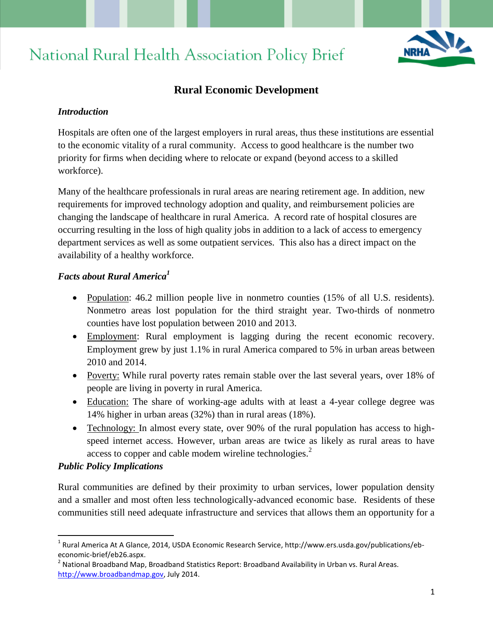# National Rural Health Association Policy Brief



# **Rural Economic Development**

#### *Introduction*

Hospitals are often one of the largest employers in rural areas, thus these institutions are essential to the economic vitality of a rural community. Access to good healthcare is the number two priority for firms when deciding where to relocate or expand (beyond access to a skilled workforce).

Many of the healthcare professionals in rural areas are nearing retirement age. In addition, new requirements for improved technology adoption and quality, and reimbursement policies are changing the landscape of healthcare in rural America. A record rate of hospital closures are occurring resulting in the loss of high quality jobs in addition to a lack of access to emergency department services as well as some outpatient services. This also has a direct impact on the availability of a healthy workforce.

## *Facts about Rural America<sup>1</sup>*

- Population: 46.2 million people live in nonmetro counties (15% of all U.S. residents). Nonmetro areas lost population for the third straight year. Two-thirds of nonmetro counties have lost population between 2010 and 2013.
- Employment: Rural employment is lagging during the recent economic recovery. Employment grew by just 1.1% in rural America compared to 5% in urban areas between 2010 and 2014.
- Poverty: While rural poverty rates remain stable over the last several years, over 18% of people are living in poverty in rural America.
- Education: The share of working-age adults with at least a 4-year college degree was 14% higher in urban areas (32%) than in rural areas (18%).
- Technology: In almost every state, over 90% of the rural population has access to highspeed internet access. However, urban areas are twice as likely as rural areas to have access to copper and cable modem wireline technologies. $<sup>2</sup>$ </sup>

#### *Public Policy Implications*

 $\overline{a}$ 

Rural communities are defined by their proximity to urban services, lower population density and a smaller and most often less technologically-advanced economic base. Residents of these communities still need adequate infrastructure and services that allows them an opportunity for a

<sup>&</sup>lt;sup>1</sup> Rural America At A Glance, 2014, USDA Economic Research Service, http://www.ers.usda.gov/publications/ebeconomic-brief/eb26.aspx.

 $^{2}$  National Broadband Map, Broadband Statistics Report: Broadband Availability in Urban vs. Rural Areas. [http://www.broadbandmap.gov,](http://www.broadbandmap.gov/) July 2014.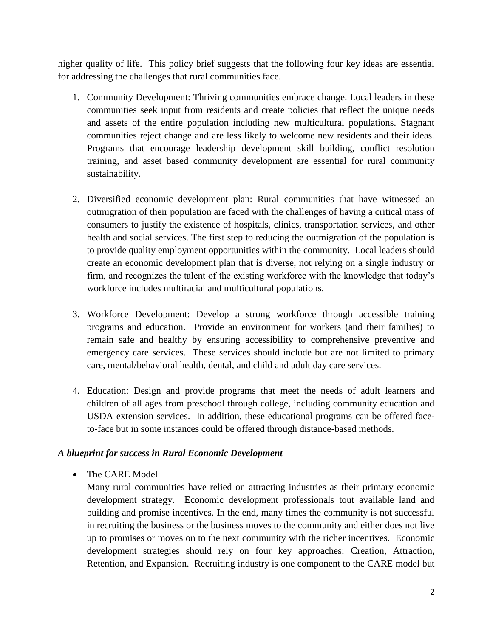higher quality of life. This policy brief suggests that the following four key ideas are essential for addressing the challenges that rural communities face.

- 1. Community Development: Thriving communities embrace change. Local leaders in these communities seek input from residents and create policies that reflect the unique needs and assets of the entire population including new multicultural populations. Stagnant communities reject change and are less likely to welcome new residents and their ideas. Programs that encourage leadership development skill building, conflict resolution training, and asset based community development are essential for rural community sustainability.
- 2. Diversified economic development plan: Rural communities that have witnessed an outmigration of their population are faced with the challenges of having a critical mass of consumers to justify the existence of hospitals, clinics, transportation services, and other health and social services. The first step to reducing the outmigration of the population is to provide quality employment opportunities within the community. Local leaders should create an economic development plan that is diverse, not relying on a single industry or firm, and recognizes the talent of the existing workforce with the knowledge that today's workforce includes multiracial and multicultural populations.
- 3. Workforce Development: Develop a strong workforce through accessible training programs and education. Provide an environment for workers (and their families) to remain safe and healthy by ensuring accessibility to comprehensive preventive and emergency care services. These services should include but are not limited to primary care, mental/behavioral health, dental, and child and adult day care services.
- 4. Education: Design and provide programs that meet the needs of adult learners and children of all ages from preschool through college, including community education and USDA extension services. In addition, these educational programs can be offered faceto-face but in some instances could be offered through distance-based methods.

## *A blueprint for success in Rural Economic Development*

• The CARE Model

Many rural communities have relied on attracting industries as their primary economic development strategy. Economic development professionals tout available land and building and promise incentives. In the end, many times the community is not successful in recruiting the business or the business moves to the community and either does not live up to promises or moves on to the next community with the richer incentives. Economic development strategies should rely on four key approaches: Creation, Attraction, Retention, and Expansion. Recruiting industry is one component to the CARE model but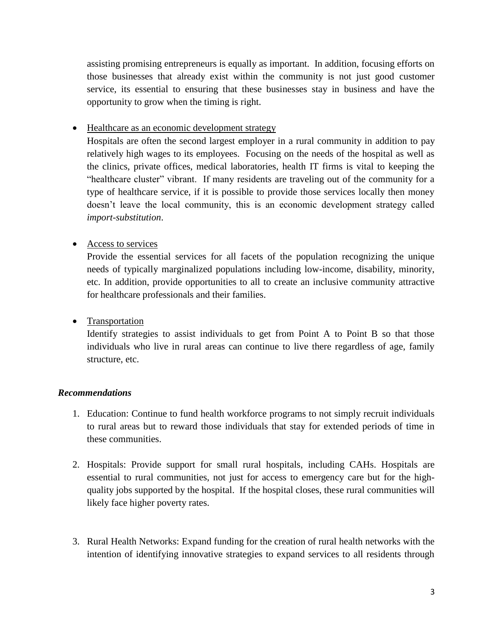assisting promising entrepreneurs is equally as important. In addition, focusing efforts on those businesses that already exist within the community is not just good customer service, its essential to ensuring that these businesses stay in business and have the opportunity to grow when the timing is right.

• Healthcare as an economic development strategy

Hospitals are often the second largest employer in a rural community in addition to pay relatively high wages to its employees. Focusing on the needs of the hospital as well as the clinics, private offices, medical laboratories, health IT firms is vital to keeping the "healthcare cluster" vibrant. If many residents are traveling out of the community for a type of healthcare service, if it is possible to provide those services locally then money doesn't leave the local community, this is an economic development strategy called *import-substitution*.

## • Access to services

Provide the essential services for all facets of the population recognizing the unique needs of typically marginalized populations including low-income, disability, minority, etc. In addition, provide opportunities to all to create an inclusive community attractive for healthcare professionals and their families.

• Transportation

Identify strategies to assist individuals to get from Point A to Point B so that those individuals who live in rural areas can continue to live there regardless of age, family structure, etc.

## *Recommendations*

- 1. Education: Continue to fund health workforce programs to not simply recruit individuals to rural areas but to reward those individuals that stay for extended periods of time in these communities.
- 2. Hospitals: Provide support for small rural hospitals, including CAHs. Hospitals are essential to rural communities, not just for access to emergency care but for the highquality jobs supported by the hospital. If the hospital closes, these rural communities will likely face higher poverty rates.
- 3. Rural Health Networks: Expand funding for the creation of rural health networks with the intention of identifying innovative strategies to expand services to all residents through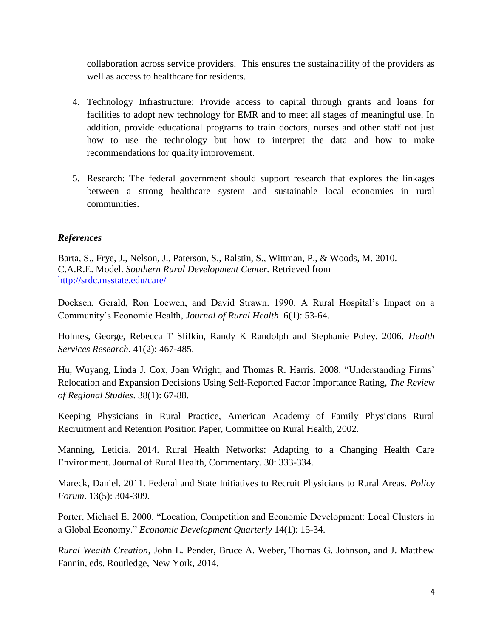collaboration across service providers. This ensures the sustainability of the providers as well as access to healthcare for residents.

- 4. Technology Infrastructure: Provide access to capital through grants and loans for facilities to adopt new technology for EMR and to meet all stages of meaningful use. In addition, provide educational programs to train doctors, nurses and other staff not just how to use the technology but how to interpret the data and how to make recommendations for quality improvement.
- 5. Research: The federal government should support research that explores the linkages between a strong healthcare system and sustainable local economies in rural communities.

## *References*

Barta, S., Frye, J., Nelson, J., Paterson, S., Ralstin, S., Wittman, P., & Woods, M. 2010. C.A.R.E. Model. *Southern Rural Development Center.* Retrieved from <http://srdc.msstate.edu/care/>

Doeksen, Gerald, Ron Loewen, and David Strawn. 1990. A Rural Hospital's Impact on a Community's Economic Health, *Journal of Rural Health*. 6(1): 53-64.

Holmes, George, Rebecca T Slifkin, Randy K Randolph and Stephanie Poley. 2006. *Health Services Research.* 41(2): 467-485.

Hu, Wuyang, Linda J. Cox, Joan Wright, and Thomas R. Harris. 2008. "Understanding Firms' Relocation and Expansion Decisions Using Self-Reported Factor Importance Rating, *The Review of Regional Studies*. 38(1): 67-88.

Keeping Physicians in Rural Practice, American Academy of Family Physicians Rural Recruitment and Retention Position Paper, Committee on Rural Health, 2002.

Manning, Leticia. 2014. Rural Health Networks: Adapting to a Changing Health Care Environment. Journal of Rural Health, Commentary. 30: 333-334.

Mareck, Daniel. 2011. Federal and State Initiatives to Recruit Physicians to Rural Areas. *Policy Forum*. 13(5): 304-309.

Porter, Michael E. 2000. "Location, Competition and Economic Development: Local Clusters in a Global Economy." *Economic Development Quarterly* 14(1): 15-34.

*Rural Wealth Creation*, John L. Pender, Bruce A. Weber, Thomas G. Johnson, and J. Matthew Fannin, eds. Routledge, New York, 2014.